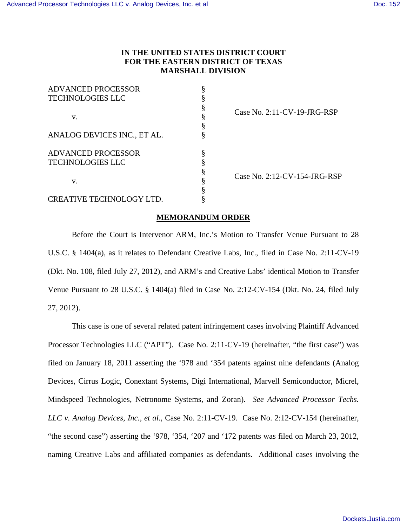# **IN THE UNITED STATES DISTRICT COURT FOR THE EASTERN DISTRICT OF TEXAS MARSHALL DIVISION**

| <b>ADVANCED PROCESSOR</b>   |  |                                 |
|-----------------------------|--|---------------------------------|
| <b>TECHNOLOGIES LLC</b>     |  |                                 |
|                             |  | Case No. $2:11$ -CV-19-JRG-RSP  |
| v.                          |  |                                 |
|                             |  |                                 |
| ANALOG DEVICES INC., ET AL. |  |                                 |
| <b>ADVANCED PROCESSOR</b>   |  | Case No. $2:12$ -CV-154-JRG-RSP |
| <b>TECHNOLOGIES LLC</b>     |  |                                 |
| V.                          |  |                                 |
|                             |  |                                 |
|                             |  |                                 |
| CREATIVE TECHNOLOGY LTD.    |  |                                 |

## **MEMORANDUM ORDER**

Before the Court is Intervenor ARM, Inc.'s Motion to Transfer Venue Pursuant to 28 U.S.C. § 1404(a), as it relates to Defendant Creative Labs, Inc., filed in Case No. 2:11-CV-19 (Dkt. No. 108, filed July 27, 2012), and ARM's and Creative Labs' identical Motion to Transfer Venue Pursuant to 28 U.S.C. § 1404(a) filed in Case No. 2:12-CV-154 (Dkt. No. 24, filed July 27, 2012).

This case is one of several related patent infringement cases involving Plaintiff Advanced Processor Technologies LLC ("APT"). Case No. 2:11-CV-19 (hereinafter, "the first case") was filed on January 18, 2011 asserting the '978 and '354 patents against nine defendants (Analog Devices, Cirrus Logic, Conextant Systems, Digi International, Marvell Semiconductor, Micrel, Mindspeed Technologies, Netronome Systems, and Zoran). *See Advanced Processor Techs. LLC v. Analog Devices, Inc., et al.*, Case No. 2:11-CV-19. Case No. 2:12-CV-154 (hereinafter, "the second case") asserting the '978, '354, '207 and '172 patents was filed on March 23, 2012, naming Creative Labs and affiliated companies as defendants. Additional cases involving the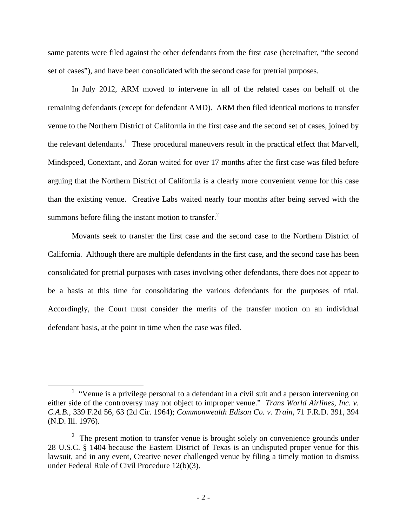same patents were filed against the other defendants from the first case (hereinafter, "the second set of cases"), and have been consolidated with the second case for pretrial purposes.

In July 2012, ARM moved to intervene in all of the related cases on behalf of the remaining defendants (except for defendant AMD). ARM then filed identical motions to transfer venue to the Northern District of California in the first case and the second set of cases, joined by the relevant defendants.<sup>1</sup> These procedural maneuvers result in the practical effect that Marvell, Mindspeed, Conextant, and Zoran waited for over 17 months after the first case was filed before arguing that the Northern District of California is a clearly more convenient venue for this case than the existing venue. Creative Labs waited nearly four months after being served with the summons before filing the instant motion to transfer. $<sup>2</sup>$ </sup>

Movants seek to transfer the first case and the second case to the Northern District of California. Although there are multiple defendants in the first case, and the second case has been consolidated for pretrial purposes with cases involving other defendants, there does not appear to be a basis at this time for consolidating the various defendants for the purposes of trial. Accordingly, the Court must consider the merits of the transfer motion on an individual defendant basis, at the point in time when the case was filed.

<sup>&</sup>lt;u>1</u>  $1$  "Venue is a privilege personal to a defendant in a civil suit and a person intervening on either side of the controversy may not object to improper venue." *Trans World Airlines, Inc. v. C.A.B.*, 339 F.2d 56, 63 (2d Cir. 1964); *Commonwealth Edison Co. v. Train*, 71 F.R.D. 391, 394 (N.D. Ill. 1976).

 $2<sup>2</sup>$  The present motion to transfer venue is brought solely on convenience grounds under 28 U.S.C. § 1404 because the Eastern District of Texas is an undisputed proper venue for this lawsuit, and in any event, Creative never challenged venue by filing a timely motion to dismiss under Federal Rule of Civil Procedure 12(b)(3).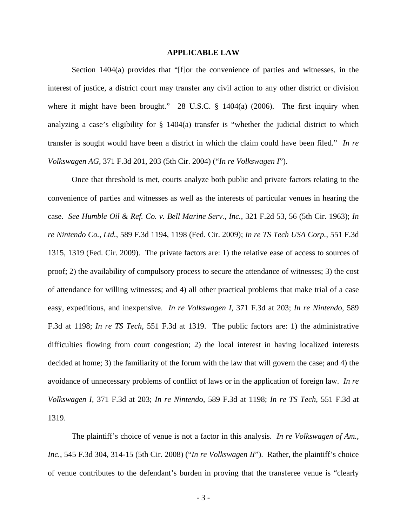#### **APPLICABLE LAW**

Section 1404(a) provides that "[f]or the convenience of parties and witnesses, in the interest of justice, a district court may transfer any civil action to any other district or division where it might have been brought." 28 U.S.C. § 1404(a) (2006). The first inquiry when analyzing a case's eligibility for § 1404(a) transfer is "whether the judicial district to which transfer is sought would have been a district in which the claim could have been filed." *In re Volkswagen AG*, 371 F.3d 201, 203 (5th Cir. 2004) ("*In re Volkswagen I*").

Once that threshold is met, courts analyze both public and private factors relating to the convenience of parties and witnesses as well as the interests of particular venues in hearing the case. *See Humble Oil & Ref. Co. v. Bell Marine Serv., Inc.*, 321 F.2d 53, 56 (5th Cir. 1963); *In re Nintendo Co., Ltd.*, 589 F.3d 1194, 1198 (Fed. Cir. 2009); *In re TS Tech USA Corp.*, 551 F.3d 1315, 1319 (Fed. Cir. 2009). The private factors are: 1) the relative ease of access to sources of proof; 2) the availability of compulsory process to secure the attendance of witnesses; 3) the cost of attendance for willing witnesses; and 4) all other practical problems that make trial of a case easy, expeditious, and inexpensive. *In re Volkswagen I*, 371 F.3d at 203; *In re Nintendo*, 589 F.3d at 1198; *In re TS Tech*, 551 F.3d at 1319. The public factors are: 1) the administrative difficulties flowing from court congestion; 2) the local interest in having localized interests decided at home; 3) the familiarity of the forum with the law that will govern the case; and 4) the avoidance of unnecessary problems of conflict of laws or in the application of foreign law. *In re Volkswagen I*, 371 F.3d at 203; *In re Nintendo*, 589 F.3d at 1198; *In re TS Tech*, 551 F.3d at 1319.

The plaintiff's choice of venue is not a factor in this analysis. *In re Volkswagen of Am., Inc.*, 545 F.3d 304, 314-15 (5th Cir. 2008) ("*In re Volkswagen II*"). Rather, the plaintiff's choice of venue contributes to the defendant's burden in proving that the transferee venue is "clearly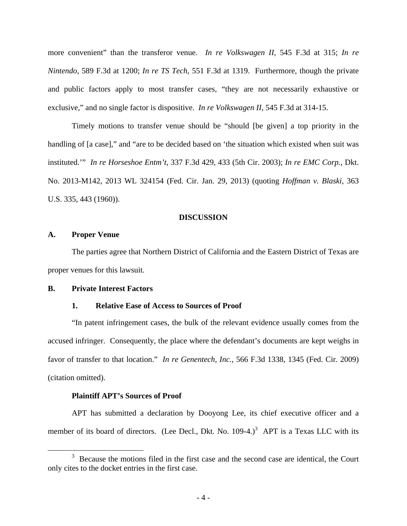more convenient" than the transferor venue. *In re Volkswagen II*, 545 F.3d at 315; *In re Nintendo*, 589 F.3d at 1200; *In re TS Tech*, 551 F.3d at 1319. Furthermore, though the private and public factors apply to most transfer cases, "they are not necessarily exhaustive or exclusive," and no single factor is dispositive. *In re Volkswagen II*, 545 F.3d at 314-15.

Timely motions to transfer venue should be "should [be given] a top priority in the handling of [a case]," and "are to be decided based on 'the situation which existed when suit was instituted.'" *In re Horseshoe Entm't*, 337 F.3d 429, 433 (5th Cir. 2003); *In re EMC Corp.*, Dkt. No. 2013-M142, 2013 WL 324154 (Fed. Cir. Jan. 29, 2013) (quoting *Hoffman v. Blaski*, 363 U.S. 335, 443 (1960)).

# **DISCUSSION**

# **A. Proper Venue**

The parties agree that Northern District of California and the Eastern District of Texas are proper venues for this lawsuit.

### **B. Private Interest Factors**

#### **1. Relative Ease of Access to Sources of Proof**

"In patent infringement cases, the bulk of the relevant evidence usually comes from the accused infringer. Consequently, the place where the defendant's documents are kept weighs in favor of transfer to that location." *In re Genentech, Inc.*, 566 F.3d 1338, 1345 (Fed. Cir. 2009) (citation omitted).

# **Plaintiff APT's Sources of Proof**

APT has submitted a declaration by Dooyong Lee, its chief executive officer and a member of its board of directors. (Lee Decl., Dkt. No.  $109-4$ .)<sup>3</sup> APT is a Texas LLC with its

 $\frac{1}{3}$  Because the motions filed in the first case and the second case are identical, the Court only cites to the docket entries in the first case.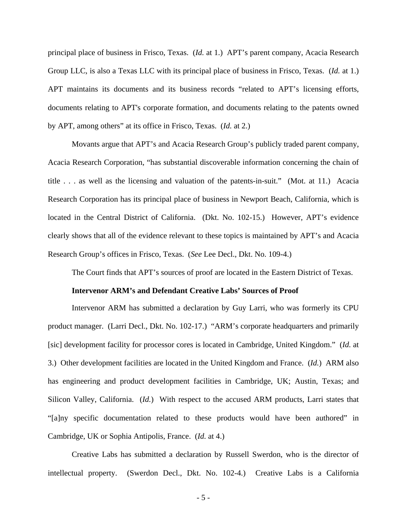principal place of business in Frisco, Texas. (*Id.* at 1.) APT's parent company, Acacia Research Group LLC, is also a Texas LLC with its principal place of business in Frisco, Texas. (*Id.* at 1.) APT maintains its documents and its business records "related to APT's licensing efforts, documents relating to APT's corporate formation, and documents relating to the patents owned by APT, among others" at its office in Frisco, Texas. (*Id.* at 2.)

Movants argue that APT's and Acacia Research Group's publicly traded parent company, Acacia Research Corporation, "has substantial discoverable information concerning the chain of title . . . as well as the licensing and valuation of the patents-in-suit." (Mot. at 11.) Acacia Research Corporation has its principal place of business in Newport Beach, California, which is located in the Central District of California. (Dkt. No. 102-15.) However, APT's evidence clearly shows that all of the evidence relevant to these topics is maintained by APT's and Acacia Research Group's offices in Frisco, Texas. (*See* Lee Decl., Dkt. No. 109-4.)

The Court finds that APT's sources of proof are located in the Eastern District of Texas.

#### **Intervenor ARM's and Defendant Creative Labs' Sources of Proof**

Intervenor ARM has submitted a declaration by Guy Larri, who was formerly its CPU product manager. (Larri Decl., Dkt. No. 102-17.) "ARM's corporate headquarters and primarily [sic] development facility for processor cores is located in Cambridge, United Kingdom." (*Id.* at 3.) Other development facilities are located in the United Kingdom and France. (*Id.*) ARM also has engineering and product development facilities in Cambridge, UK; Austin, Texas; and Silicon Valley, California. (*Id.*) With respect to the accused ARM products, Larri states that "[a]ny specific documentation related to these products would have been authored" in Cambridge, UK or Sophia Antipolis, France. (*Id.* at 4.)

Creative Labs has submitted a declaration by Russell Swerdon, who is the director of intellectual property. (Swerdon Decl., Dkt. No. 102-4.) Creative Labs is a California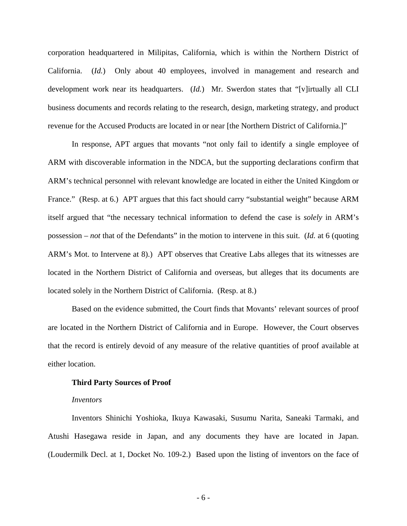corporation headquartered in Milipitas, California, which is within the Northern District of California. (*Id.*) Only about 40 employees, involved in management and research and development work near its headquarters. (*Id.*) Mr. Swerdon states that "[v]irtually all CLI business documents and records relating to the research, design, marketing strategy, and product revenue for the Accused Products are located in or near [the Northern District of California.]"

In response, APT argues that movants "not only fail to identify a single employee of ARM with discoverable information in the NDCA, but the supporting declarations confirm that ARM's technical personnel with relevant knowledge are located in either the United Kingdom or France." (Resp. at 6.) APT argues that this fact should carry "substantial weight" because ARM itself argued that "the necessary technical information to defend the case is *solely* in ARM's possession – *not* that of the Defendants" in the motion to intervene in this suit. (*Id.* at 6 (quoting ARM's Mot. to Intervene at 8).) APT observes that Creative Labs alleges that its witnesses are located in the Northern District of California and overseas, but alleges that its documents are located solely in the Northern District of California. (Resp. at 8.)

Based on the evidence submitted, the Court finds that Movants' relevant sources of proof are located in the Northern District of California and in Europe. However, the Court observes that the record is entirely devoid of any measure of the relative quantities of proof available at either location.

# **Third Party Sources of Proof**

#### *Inventors*

Inventors Shinichi Yoshioka, Ikuya Kawasaki, Susumu Narita, Saneaki Tarmaki, and Atushi Hasegawa reside in Japan, and any documents they have are located in Japan. (Loudermilk Decl. at 1, Docket No. 109-2.) Based upon the listing of inventors on the face of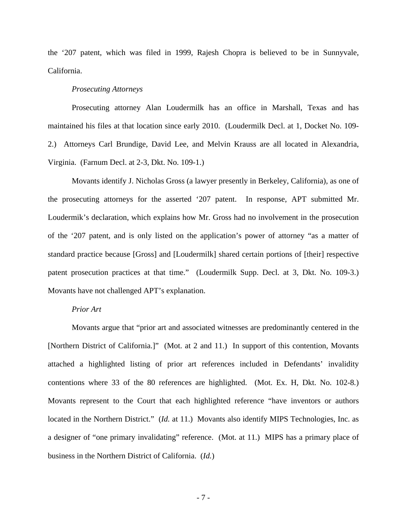the '207 patent, which was filed in 1999, Rajesh Chopra is believed to be in Sunnyvale, California.

#### *Prosecuting Attorneys*

Prosecuting attorney Alan Loudermilk has an office in Marshall, Texas and has maintained his files at that location since early 2010. (Loudermilk Decl. at 1, Docket No. 109- 2.) Attorneys Carl Brundige, David Lee, and Melvin Krauss are all located in Alexandria, Virginia. (Farnum Decl. at 2-3, Dkt. No. 109-1.)

Movants identify J. Nicholas Gross (a lawyer presently in Berkeley, California), as one of the prosecuting attorneys for the asserted '207 patent. In response, APT submitted Mr. Loudermik's declaration, which explains how Mr. Gross had no involvement in the prosecution of the '207 patent, and is only listed on the application's power of attorney "as a matter of standard practice because [Gross] and [Loudermilk] shared certain portions of [their] respective patent prosecution practices at that time." (Loudermilk Supp. Decl. at 3, Dkt. No. 109-3.) Movants have not challenged APT's explanation.

## *Prior Art*

Movants argue that "prior art and associated witnesses are predominantly centered in the [Northern District of California.]" (Mot. at 2 and 11.) In support of this contention, Movants attached a highlighted listing of prior art references included in Defendants' invalidity contentions where 33 of the 80 references are highlighted. (Mot. Ex. H, Dkt. No. 102-8*.*) Movants represent to the Court that each highlighted reference "have inventors or authors located in the Northern District." (*Id.* at 11.) Movants also identify MIPS Technologies, Inc. as a designer of "one primary invalidating" reference. (Mot. at 11.) MIPS has a primary place of business in the Northern District of California. (*Id.*)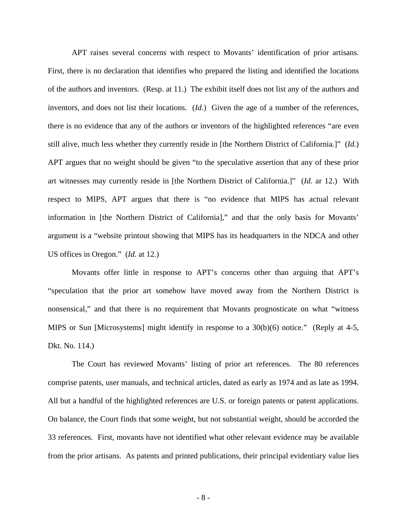APT raises several concerns with respect to Movants' identification of prior artisans. First, there is no declaration that identifies who prepared the listing and identified the locations of the authors and inventors. (Resp. at 11.) The exhibit itself does not list any of the authors and inventors, and does not list their locations. (*Id.*) Given the age of a number of the references, there is no evidence that any of the authors or inventors of the highlighted references "are even still alive, much less whether they currently reside in [the Northern District of California.]" (*Id.*) APT argues that no weight should be given "to the speculative assertion that any of these prior art witnesses may currently reside in [the Northern District of California.]" (*Id.* ar 12.) With respect to MIPS, APT argues that there is "no evidence that MIPS has actual relevant information in [the Northern District of California]," and that the only basis for Movants' argument is a "website printout showing that MIPS has its headquarters in the NDCA and other US offices in Oregon." (*Id.* at 12.)

Movants offer little in response to APT's concerns other than arguing that APT's "speculation that the prior art somehow have moved away from the Northern District is nonsensical," and that there is no requirement that Movants prognosticate on what "witness MIPS or Sun [Microsystems] might identify in response to a 30(b)(6) notice." (Reply at 4-5, Dkt. No. 114.)

The Court has reviewed Movants' listing of prior art references. The 80 references comprise patents, user manuals, and technical articles, dated as early as 1974 and as late as 1994. All but a handful of the highlighted references are U.S. or foreign patents or patent applications. On balance, the Court finds that some weight, but not substantial weight, should be accorded the 33 references. First, movants have not identified what other relevant evidence may be available from the prior artisans. As patents and printed publications, their principal evidentiary value lies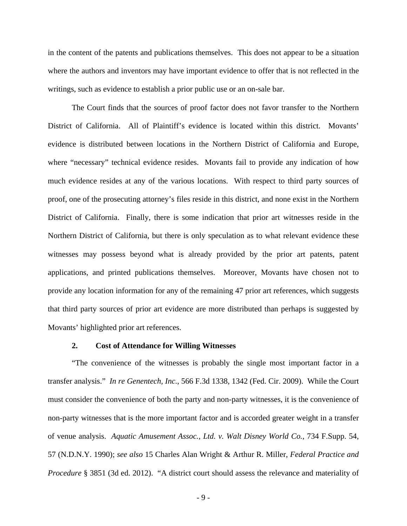in the content of the patents and publications themselves. This does not appear to be a situation where the authors and inventors may have important evidence to offer that is not reflected in the writings, such as evidence to establish a prior public use or an on-sale bar.

The Court finds that the sources of proof factor does not favor transfer to the Northern District of California. All of Plaintiff's evidence is located within this district. Movants' evidence is distributed between locations in the Northern District of California and Europe, where "necessary" technical evidence resides. Movants fail to provide any indication of how much evidence resides at any of the various locations. With respect to third party sources of proof, one of the prosecuting attorney's files reside in this district, and none exist in the Northern District of California. Finally, there is some indication that prior art witnesses reside in the Northern District of California, but there is only speculation as to what relevant evidence these witnesses may possess beyond what is already provided by the prior art patents, patent applications, and printed publications themselves. Moreover, Movants have chosen not to provide any location information for any of the remaining 47 prior art references, which suggests that third party sources of prior art evidence are more distributed than perhaps is suggested by Movants' highlighted prior art references.

#### **2. Cost of Attendance for Willing Witnesses**

"The convenience of the witnesses is probably the single most important factor in a transfer analysis." *In re Genentech, Inc.*, 566 F.3d 1338, 1342 (Fed. Cir. 2009). While the Court must consider the convenience of both the party and non-party witnesses, it is the convenience of non-party witnesses that is the more important factor and is accorded greater weight in a transfer of venue analysis. *Aquatic Amusement Assoc., Ltd. v. Walt Disney World Co.*, 734 F.Supp. 54, 57 (N.D.N.Y. 1990); *see also* 15 Charles Alan Wright & Arthur R. Miller, *Federal Practice and Procedure* § 3851 (3d ed. 2012). "A district court should assess the relevance and materiality of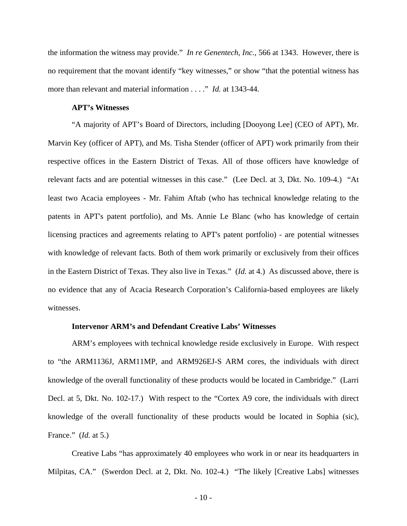the information the witness may provide." *In re Genentech, Inc.*, 566 at 1343. However, there is no requirement that the movant identify "key witnesses," or show "that the potential witness has more than relevant and material information . . . ." *Id.* at 1343-44.

# **APT's Witnesses**

"A majority of APT's Board of Directors, including [Dooyong Lee] (CEO of APT), Mr. Marvin Key (officer of APT), and Ms. Tisha Stender (officer of APT) work primarily from their respective offices in the Eastern District of Texas. All of those officers have knowledge of relevant facts and are potential witnesses in this case." (Lee Decl. at 3, Dkt. No. 109-4.) "At least two Acacia employees - Mr. Fahim Aftab (who has technical knowledge relating to the patents in APT's patent portfolio), and Ms. Annie Le Blanc (who has knowledge of certain licensing practices and agreements relating to APT's patent portfolio) - are potential witnesses with knowledge of relevant facts. Both of them work primarily or exclusively from their offices in the Eastern District of Texas. They also live in Texas." (*Id.* at 4.) As discussed above, there is no evidence that any of Acacia Research Corporation's California-based employees are likely witnesses.

## **Intervenor ARM's and Defendant Creative Labs' Witnesses**

ARM's employees with technical knowledge reside exclusively in Europe. With respect to "the ARM1136J, ARM11MP, and ARM926EJ-S ARM cores, the individuals with direct knowledge of the overall functionality of these products would be located in Cambridge." (Larri Decl. at 5, Dkt. No. 102-17.) With respect to the "Cortex A9 core, the individuals with direct knowledge of the overall functionality of these products would be located in Sophia (sic), France." (*Id.* at 5.)

Creative Labs "has approximately 40 employees who work in or near its headquarters in Milpitas, CA." (Swerdon Decl. at 2, Dkt. No. 102-4.) "The likely [Creative Labs] witnesses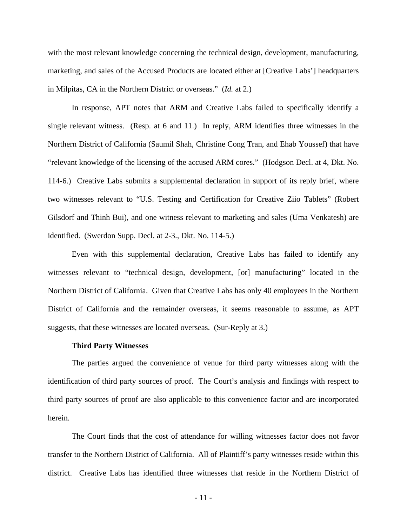with the most relevant knowledge concerning the technical design, development, manufacturing, marketing, and sales of the Accused Products are located either at [Creative Labs'] headquarters in Milpitas, CA in the Northern District or overseas." (*Id.* at 2.)

In response, APT notes that ARM and Creative Labs failed to specifically identify a single relevant witness. (Resp. at 6 and 11.) In reply, ARM identifies three witnesses in the Northern District of California (Saumil Shah, Christine Cong Tran, and Ehab Youssef) that have "relevant knowledge of the licensing of the accused ARM cores." (Hodgson Decl. at 4, Dkt. No. 114-6.) Creative Labs submits a supplemental declaration in support of its reply brief, where two witnesses relevant to "U.S. Testing and Certification for Creative Ziio Tablets" (Robert Gilsdorf and Thinh Bui), and one witness relevant to marketing and sales (Uma Venkatesh) are identified. (Swerdon Supp. Decl. at 2-3., Dkt. No. 114-5.)

Even with this supplemental declaration, Creative Labs has failed to identify any witnesses relevant to "technical design, development, [or] manufacturing" located in the Northern District of California. Given that Creative Labs has only 40 employees in the Northern District of California and the remainder overseas, it seems reasonable to assume, as APT suggests, that these witnesses are located overseas. (Sur-Reply at 3.)

#### **Third Party Witnesses**

The parties argued the convenience of venue for third party witnesses along with the identification of third party sources of proof. The Court's analysis and findings with respect to third party sources of proof are also applicable to this convenience factor and are incorporated herein.

The Court finds that the cost of attendance for willing witnesses factor does not favor transfer to the Northern District of California. All of Plaintiff's party witnesses reside within this district. Creative Labs has identified three witnesses that reside in the Northern District of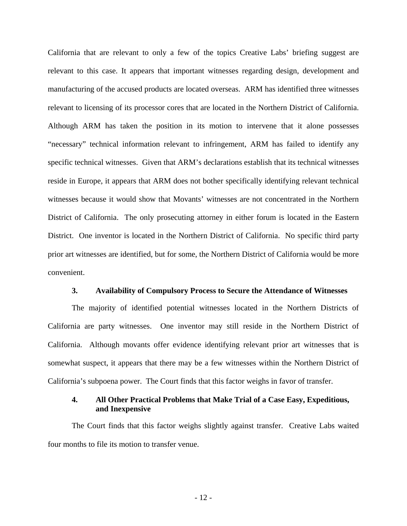California that are relevant to only a few of the topics Creative Labs' briefing suggest are relevant to this case. It appears that important witnesses regarding design, development and manufacturing of the accused products are located overseas. ARM has identified three witnesses relevant to licensing of its processor cores that are located in the Northern District of California. Although ARM has taken the position in its motion to intervene that it alone possesses "necessary" technical information relevant to infringement, ARM has failed to identify any specific technical witnesses. Given that ARM's declarations establish that its technical witnesses reside in Europe, it appears that ARM does not bother specifically identifying relevant technical witnesses because it would show that Movants' witnesses are not concentrated in the Northern District of California. The only prosecuting attorney in either forum is located in the Eastern District. One inventor is located in the Northern District of California. No specific third party prior art witnesses are identified, but for some, the Northern District of California would be more convenient.

#### **3. Availability of Compulsory Process to Secure the Attendance of Witnesses**

The majority of identified potential witnesses located in the Northern Districts of California are party witnesses. One inventor may still reside in the Northern District of California. Although movants offer evidence identifying relevant prior art witnesses that is somewhat suspect, it appears that there may be a few witnesses within the Northern District of California's subpoena power. The Court finds that this factor weighs in favor of transfer.

# **4. All Other Practical Problems that Make Trial of a Case Easy, Expeditious, and Inexpensive**

The Court finds that this factor weighs slightly against transfer. Creative Labs waited four months to file its motion to transfer venue.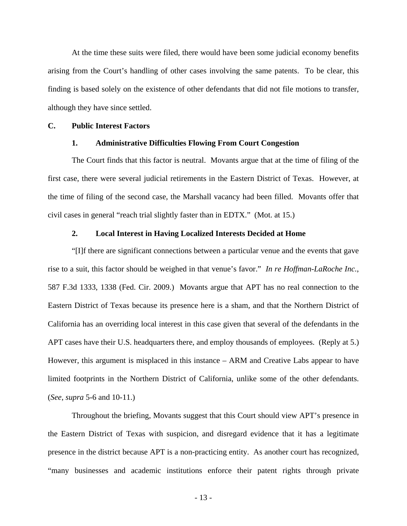At the time these suits were filed, there would have been some judicial economy benefits arising from the Court's handling of other cases involving the same patents. To be clear, this finding is based solely on the existence of other defendants that did not file motions to transfer, although they have since settled.

## **C. Public Interest Factors**

# **1. Administrative Difficulties Flowing From Court Congestion**

The Court finds that this factor is neutral. Movants argue that at the time of filing of the first case, there were several judicial retirements in the Eastern District of Texas. However, at the time of filing of the second case, the Marshall vacancy had been filled. Movants offer that civil cases in general "reach trial slightly faster than in EDTX." (Mot. at 15.)

## **2. Local Interest in Having Localized Interests Decided at Home**

"[I]f there are significant connections between a particular venue and the events that gave rise to a suit, this factor should be weighed in that venue's favor." *In re Hoffman-LaRoche Inc.*, 587 F.3d 1333, 1338 (Fed. Cir. 2009.) Movants argue that APT has no real connection to the Eastern District of Texas because its presence here is a sham, and that the Northern District of California has an overriding local interest in this case given that several of the defendants in the APT cases have their U.S. headquarters there, and employ thousands of employees. (Reply at 5.) However, this argument is misplaced in this instance – ARM and Creative Labs appear to have limited footprints in the Northern District of California, unlike some of the other defendants. (*See*, *supra* 5-6 and 10-11.)

Throughout the briefing, Movants suggest that this Court should view APT's presence in the Eastern District of Texas with suspicion, and disregard evidence that it has a legitimate presence in the district because APT is a non-practicing entity. As another court has recognized, "many businesses and academic institutions enforce their patent rights through private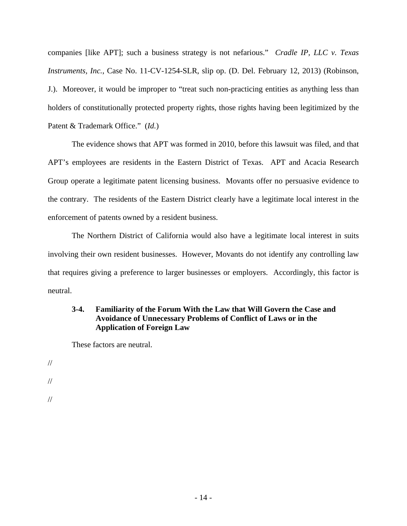companies [like APT]; such a business strategy is not nefarious." *Cradle IP, LLC v. Texas Instruments, Inc.*, Case No. 11-CV-1254-SLR, slip op. (D. Del. February 12, 2013) (Robinson, J.). Moreover, it would be improper to "treat such non-practicing entities as anything less than holders of constitutionally protected property rights, those rights having been legitimized by the Patent & Trademark Office." (*Id.*)

The evidence shows that APT was formed in 2010, before this lawsuit was filed, and that APT's employees are residents in the Eastern District of Texas. APT and Acacia Research Group operate a legitimate patent licensing business. Movants offer no persuasive evidence to the contrary. The residents of the Eastern District clearly have a legitimate local interest in the enforcement of patents owned by a resident business.

The Northern District of California would also have a legitimate local interest in suits involving their own resident businesses. However, Movants do not identify any controlling law that requires giving a preference to larger businesses or employers. Accordingly, this factor is neutral.

# **3-4. Familiarity of the Forum With the Law that Will Govern the Case and Avoidance of Unnecessary Problems of Conflict of Laws or in the Application of Foreign Law**

These factors are neutral.

// // //